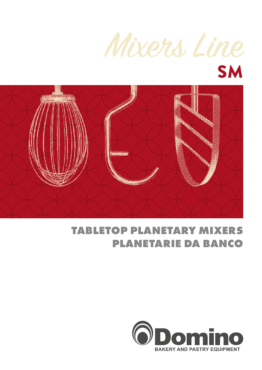



## **TABLETOP PLANETARY MIXERS PLANETARIE DA BANCO**

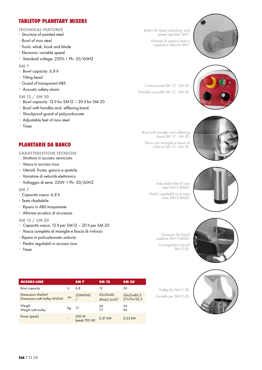### **TABLETOP PLANETARY MIXERS**

- **TECHNICAL FEATURES**
- + Structure of painted steel
- + Bowl of inox steel
- + Tools: whisk, hook and blade
- + Electronic variable speed
- + Standard voltage: 220V-1 Ph- 50/60HZ

**SM 7**

- + Bowl capacity: 6,8 lt
- + Tilting head
- + Guard of transparent ABS
- + Acoustic safety alarm

#### **SM 12 / SM 20**

- + Bowl capacity: 12 lt for SM12 20 lt for SM 20
- + Bowl with handles and stiffening band
- + Shockproof guard of polycarbonate
- + Adjustable feet of inox steel
- + Timer

*Button for head unlocking and speed regulator SM7. Pulsante di sgancio testa e regolatore velocità SM7.*



*Control panel SM 12 - SM 20. Pannello controllo SM 12 - SM 20.*



*Bowl with handles and stiffening band SM 12 - SM 20. Vasca con maniglie e fascia di rinforzo SM 12 - SM 20.*



*Adjustable feet of inox steel SM12-SM20. Piedini regolabili in acciaio inox SM12-SM20.*



*Conveyor for liquid addition SM12-SM20. Convogliatore liquidi SM12-20.*



*Trolley for SM12-20. Carrello per SM12-20.*



**PLANETARIE DA BANCO**

- **CARATTERISTICHE TECNICHE**
- + Struttura in acciaio verniciato
- + Vasca in acciaio inox
- + Utensili: frusta, gancio e spatola
- + Variatore di velocità elettronico
- + Voltaggio di serie: 220V-1 Ph- 50/60HZ

#### **SM 7**

- + Capacità vasca: 6,8 lt
- + Testa ribaltabile
- + Riparo in ABS trasparente
- + Allarme acustico di sicurezza

#### **SM 12 / SM 20**

- + Capacità vasca: 12 lt per SM12 20 lt per SM 20
- + Vasca completa di maniglie e fascia di rinforzo
- + Riparo in policarbonato antiurto
- + Piedini regolabili in acciaio inox
- + Timer

**MIXERS LINE SM 7 SM 12 SM 20** Bowl capacity Lt 6,8 12 20 Dimensions WxDxH Dimensions WxDxH 23X40X42<br>Dimensions with trolley WxDxH cm / / 43x52x66 49x62,5x127 50x55x80,5 57x73x152,5 Weight Weight with trolley Kg 17 46<br>Weight with trolley Kg 17 77 77 56  $\overline{\mathsf{A}}$ Power (peak) 500 W (peak 700 W) 0,37 kW 0,55 kW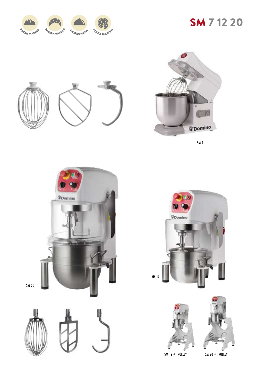

# SM 7 12 20





SM 7











SM 12 + TROLLEY SM 20 + TROLLEY